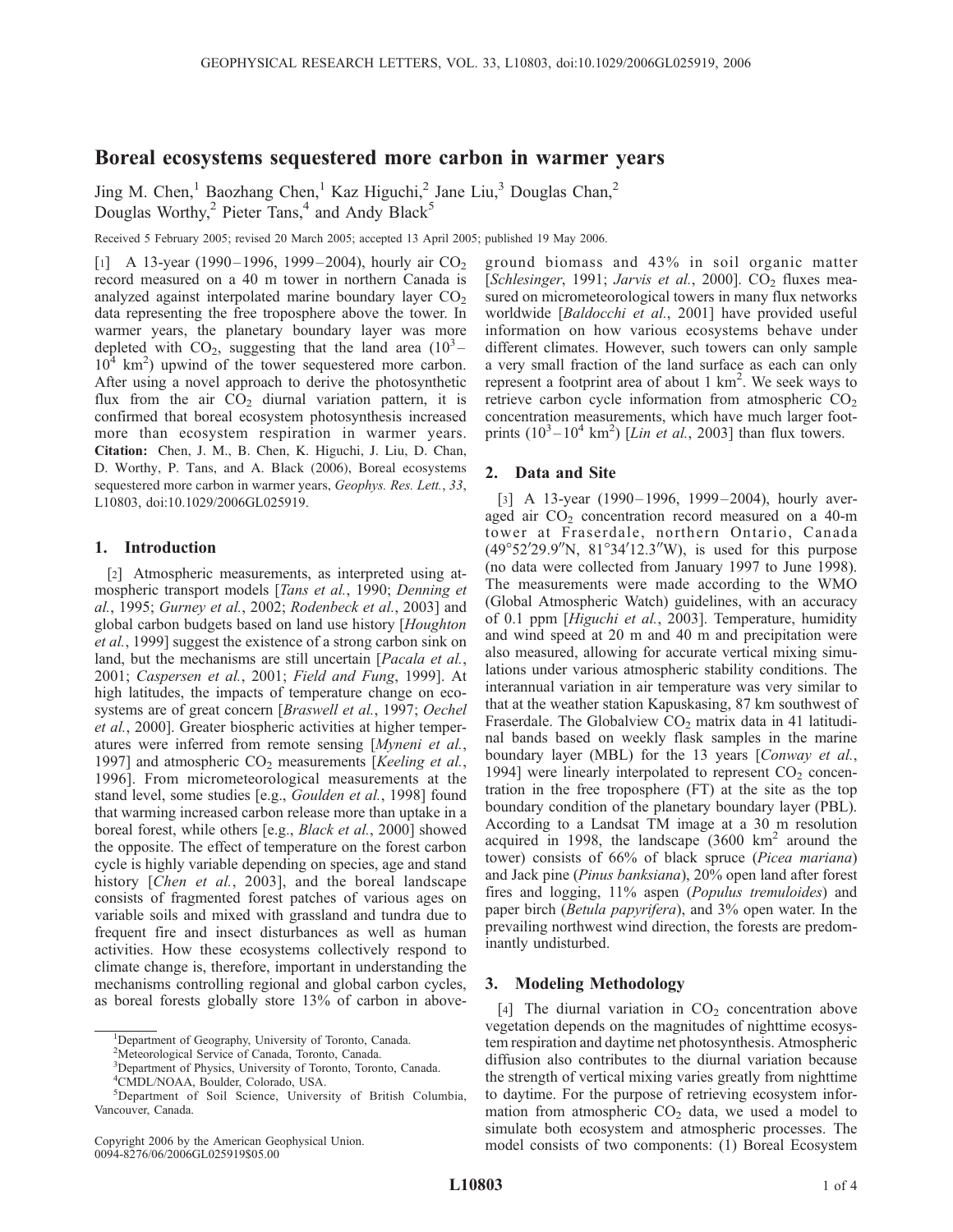# Boreal ecosystems sequestered more carbon in warmer years

Jing M. Chen,<sup>1</sup> Baozhang Chen,<sup>1</sup> Kaz Higuchi,<sup>2</sup> Jane Liu,<sup>3</sup> Douglas Chan,<sup>2</sup> Douglas Worthy, $^2$  Pieter Tans, $^4$  and Andy Black<sup>5</sup>

Received 5 February 2005; revised 20 March 2005; accepted 13 April 2005; published 19 May 2006.

[1] A 13-year (1990–1996, 1999–2004), hourly air  $CO<sub>2</sub>$ record measured on a 40 m tower in northern Canada is analyzed against interpolated marine boundary layer  $CO<sub>2</sub>$ data representing the free troposphere above the tower. In warmer years, the planetary boundary layer was more depleted with  $CO_2$ , suggesting that the land area  $(10^3 -$ 10<sup>4</sup> km<sup>2</sup>) upwind of the tower sequestered more carbon. After using a novel approach to derive the photosynthetic flux from the air  $CO<sub>2</sub>$  diurnal variation pattern, it is confirmed that boreal ecosystem photosynthesis increased more than ecosystem respiration in warmer years. Citation: Chen, J. M., B. Chen, K. Higuchi, J. Liu, D. Chan, D. Worthy, P. Tans, and A. Black (2006), Boreal ecosystems sequestered more carbon in warmer years, Geophys. Res. Lett., 33, L10803, doi:10.1029/2006GL025919.

## 1. Introduction

[2] Atmospheric measurements, as interpreted using atmospheric transport models [Tans et al., 1990; Denning et al., 1995; Gurney et al., 2002; Rodenbeck et al., 2003] and global carbon budgets based on land use history [Houghton et al., 1999] suggest the existence of a strong carbon sink on land, but the mechanisms are still uncertain [*Pacala et al.*, 2001; Caspersen et al., 2001; Field and Fung, 1999]. At high latitudes, the impacts of temperature change on ecosystems are of great concern [Braswell et al., 1997; Oechel et al., 2000]. Greater biospheric activities at higher temperatures were inferred from remote sensing [Myneni et al., 1997] and atmospheric  $CO<sub>2</sub>$  measurements [Keeling et al., 1996]. From micrometeorological measurements at the stand level, some studies [e.g., Goulden et al., 1998] found that warming increased carbon release more than uptake in a boreal forest, while others [e.g., Black et al., 2000] showed the opposite. The effect of temperature on the forest carbon cycle is highly variable depending on species, age and stand history [*Chen et al.*, 2003], and the boreal landscape consists of fragmented forest patches of various ages on variable soils and mixed with grassland and tundra due to frequent fire and insect disturbances as well as human activities. How these ecosystems collectively respond to climate change is, therefore, important in understanding the mechanisms controlling regional and global carbon cycles, as boreal forests globally store 13% of carbon in aboveground biomass and 43% in soil organic matter [Schlesinger, 1991; Jarvis et al., 2000].  $CO<sub>2</sub>$  fluxes measured on micrometeorological towers in many flux networks worldwide [Baldocchi et al., 2001] have provided useful information on how various ecosystems behave under different climates. However, such towers can only sample a very small fraction of the land surface as each can only represent a footprint area of about  $1 \text{ km}^2$ . We seek ways to retrieve carbon cycle information from atmospheric  $CO<sub>2</sub>$ concentration measurements, which have much larger footprints  $(10^3 - 10^4 \text{ km}^2)$  [*Lin et al.*, 2003] than flux towers.

### 2. Data and Site

[3] A 13-year (1990–1996, 1999–2004), hourly averaged air  $CO<sub>2</sub>$  concentration record measured on a 40-m tower at Fraserdale, northern Ontario, Canada  $(49^{\circ}52'29.9''N, 81^{\circ}34'12.3''W)$ , is used for this purpose (no data were collected from January 1997 to June 1998). The measurements were made according to the WMO (Global Atmospheric Watch) guidelines, with an accuracy of 0.1 ppm [Higuchi et al., 2003]. Temperature, humidity and wind speed at 20 m and 40 m and precipitation were also measured, allowing for accurate vertical mixing simulations under various atmospheric stability conditions. The interannual variation in air temperature was very similar to that at the weather station Kapuskasing, 87 km southwest of Fraserdale. The Globalview  $CO<sub>2</sub>$  matrix data in 41 latitudinal bands based on weekly flask samples in the marine boundary layer (MBL) for the 13 years [Conway et al., 1994] were linearly interpolated to represent  $CO<sub>2</sub>$  concentration in the free troposphere (FT) at the site as the top boundary condition of the planetary boundary layer (PBL). According to a Landsat TM image at a 30 m resolution acquired in 1998, the landscape  $(3600 \text{ km}^2 \text{ around the})$ tower) consists of 66% of black spruce (Picea mariana) and Jack pine (Pinus banksiana), 20% open land after forest fires and logging, 11% aspen (Populus tremuloides) and paper birch (Betula papyrifera), and 3% open water. In the prevailing northwest wind direction, the forests are predominantly undisturbed.

## 3. Modeling Methodology

[4] The diurnal variation in  $CO<sub>2</sub>$  concentration above vegetation depends on the magnitudes of nighttime ecosystem respiration and daytime net photosynthesis. Atmospheric diffusion also contributes to the diurnal variation because the strength of vertical mixing varies greatly from nighttime to daytime. For the purpose of retrieving ecosystem information from atmospheric  $CO<sub>2</sub>$  data, we used a model to simulate both ecosystem and atmospheric processes. The model consists of two components: (1) Boreal Ecosystem

<sup>&</sup>lt;sup>1</sup>Department of Geography, University of Toronto, Canada.

<sup>&</sup>lt;sup>2</sup>Meteorological Service of Canada, Toronto, Canada.

<sup>&</sup>lt;sup>3</sup>Department of Physics, University of Toronto, Toronto, Canada.

<sup>4</sup> CMDL/NOAA, Boulder, Colorado, USA.

<sup>5</sup> Department of Soil Science, University of British Columbia, Vancouver, Canada.

Copyright 2006 by the American Geophysical Union. 0094-8276/06/2006GL025919\$05.00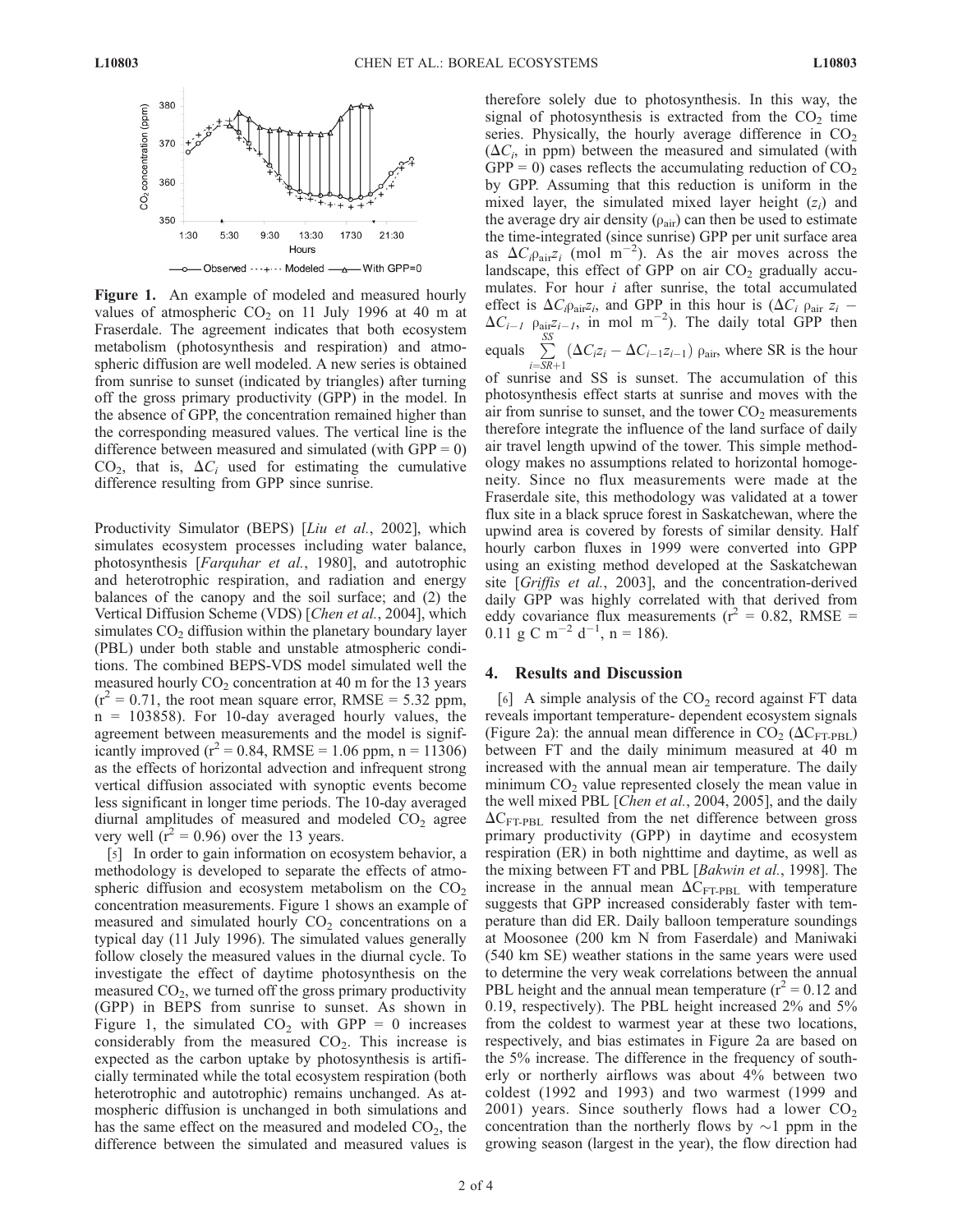

Figure 1. An example of modeled and measured hourly values of atmospheric  $CO<sub>2</sub>$  on 11 July 1996 at 40 m at Fraserdale. The agreement indicates that both ecosystem metabolism (photosynthesis and respiration) and atmospheric diffusion are well modeled. A new series is obtained from sunrise to sunset (indicated by triangles) after turning off the gross primary productivity (GPP) in the model. In the absence of GPP, the concentration remained higher than the corresponding measured values. The vertical line is the difference between measured and simulated (with  $GPP = 0$ )  $CO<sub>2</sub>$ , that is,  $\Delta C<sub>i</sub>$  used for estimating the cumulative difference resulting from GPP since sunrise.

Productivity Simulator (BEPS) [Liu et al., 2002], which simulates ecosystem processes including water balance, photosynthesis [Farquhar et al., 1980], and autotrophic and heterotrophic respiration, and radiation and energy balances of the canopy and the soil surface; and (2) the Vertical Diffusion Scheme (VDS) [Chen et al., 2004], which simulates  $CO<sub>2</sub>$  diffusion within the planetary boundary layer (PBL) under both stable and unstable atmospheric conditions. The combined BEPS-VDS model simulated well the measured hourly  $CO<sub>2</sub>$  concentration at 40 m for the 13 years  $(r^2 = 0.71$ , the root mean square error, RMSE = 5.32 ppm,  $n = 103858$ ). For 10-day averaged hourly values, the agreement between measurements and the model is significantly improved ( $r^2 = 0.84$ , RMSE = 1.06 ppm, n = 11306) as the effects of horizontal advection and infrequent strong vertical diffusion associated with synoptic events become less significant in longer time periods. The 10-day averaged diurnal amplitudes of measured and modeled  $CO<sub>2</sub>$  agree very well ( $r^2$  = 0.96) over the 13 years.

[5] In order to gain information on ecosystem behavior, a methodology is developed to separate the effects of atmospheric diffusion and ecosystem metabolism on the  $CO<sub>2</sub>$ concentration measurements. Figure 1 shows an example of measured and simulated hourly  $CO<sub>2</sub>$  concentrations on a typical day (11 July 1996). The simulated values generally follow closely the measured values in the diurnal cycle. To investigate the effect of daytime photosynthesis on the measured  $CO<sub>2</sub>$ , we turned off the gross primary productivity (GPP) in BEPS from sunrise to sunset. As shown in Figure 1, the simulated  $CO<sub>2</sub>$  with GPP = 0 increases considerably from the measured  $CO<sub>2</sub>$ . This increase is expected as the carbon uptake by photosynthesis is artificially terminated while the total ecosystem respiration (both heterotrophic and autotrophic) remains unchanged. As atmospheric diffusion is unchanged in both simulations and has the same effect on the measured and modeled  $CO<sub>2</sub>$ , the difference between the simulated and measured values is

therefore solely due to photosynthesis. In this way, the signal of photosynthesis is extracted from the  $CO<sub>2</sub>$  time series. Physically, the hourly average difference in  $CO<sub>2</sub>$  $(\Delta C_i)$ , in ppm) between the measured and simulated (with  $GPP = 0$ ) cases reflects the accumulating reduction of  $CO<sub>2</sub>$ by GPP. Assuming that this reduction is uniform in the mixed layer, the simulated mixed layer height  $(z<sub>i</sub>)$  and the average dry air density  $(\rho_{air})$  can then be used to estimate the time-integrated (since sunrise) GPP per unit surface area as  $\Delta C_i \rho_{\text{air}} z_i$  (mol m<sup>-2</sup>). As the air moves across the landscape, this effect of GPP on air  $CO<sub>2</sub>$  gradually accumulates. For hour  $i$  after sunrise, the total accumulated effect is  $\Delta C_i \rho_{\text{air}} z_i$ , and GPP in this hour is  $(\Delta C_i \rho_{\text{air}} z_i$  - $\Delta C_{i-1}$   $\rho_{\text{air}}z_{i-1}$ , in mol m<sup>-2</sup>). The daily total GPP then equals  $\sum_{n=1}^{S S}$  $\sum_{i=SR+1} (\Delta C_i z_i - \Delta C_{i-1} z_{i-1}) \rho_{\text{air}}$ , where SR is the hour

of sunrise and SS is sunset. The accumulation of this photosynthesis effect starts at sunrise and moves with the air from sunrise to sunset, and the tower  $CO<sub>2</sub>$  measurements therefore integrate the influence of the land surface of daily air travel length upwind of the tower. This simple methodology makes no assumptions related to horizontal homogeneity. Since no flux measurements were made at the Fraserdale site, this methodology was validated at a tower flux site in a black spruce forest in Saskatchewan, where the upwind area is covered by forests of similar density. Half hourly carbon fluxes in 1999 were converted into GPP using an existing method developed at the Saskatchewan site [Griffis et al., 2003], and the concentration-derived daily GPP was highly correlated with that derived from eddy covariance flux measurements ( $r^2 = 0.82$ , RMSE =  $0.11 \text{ g C m}^{-2} d^{-1}$ , n = 186).

#### 4. Results and Discussion

[6] A simple analysis of the  $CO<sub>2</sub>$  record against FT data reveals important temperature- dependent ecosystem signals (Figure 2a): the annual mean difference in  $CO_2$  ( $\Delta C_{\text{FT-PBL}}$ ) between FT and the daily minimum measured at 40 m increased with the annual mean air temperature. The daily minimum  $CO<sub>2</sub>$  value represented closely the mean value in the well mixed PBL [Chen et al., 2004, 2005], and the daily  $\Delta C_{\text{FT-PBL}}$  resulted from the net difference between gross primary productivity (GPP) in daytime and ecosystem respiration (ER) in both nighttime and daytime, as well as the mixing between FT and PBL [Bakwin et al., 1998]. The increase in the annual mean  $\Delta C_{\text{FT-PBL}}$  with temperature suggests that GPP increased considerably faster with temperature than did ER. Daily balloon temperature soundings at Moosonee (200 km N from Faserdale) and Maniwaki (540 km SE) weather stations in the same years were used to determine the very weak correlations between the annual PBL height and the annual mean temperature ( $r^2 = 0.12$  and 0.19, respectively). The PBL height increased 2% and 5% from the coldest to warmest year at these two locations, respectively, and bias estimates in Figure 2a are based on the 5% increase. The difference in the frequency of southerly or northerly airflows was about 4% between two coldest (1992 and 1993) and two warmest (1999 and 2001) years. Since southerly flows had a lower  $CO<sub>2</sub>$ concentration than the northerly flows by  $\sim$ 1 ppm in the growing season (largest in the year), the flow direction had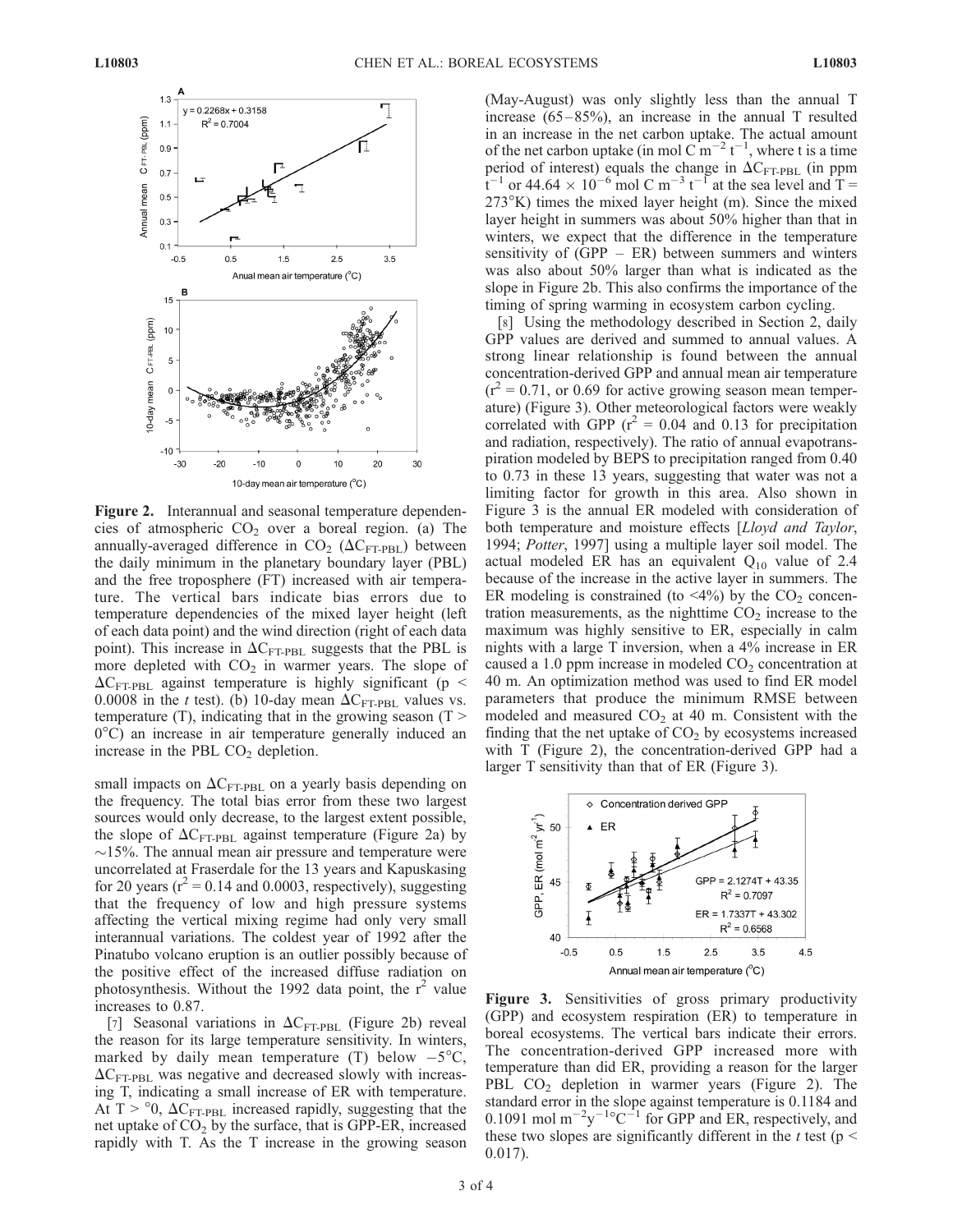

Figure 2. Interannual and seasonal temperature dependencies of atmospheric  $CO<sub>2</sub>$  over a boreal region. (a) The annually-averaged difference in  $CO<sub>2</sub> (\Delta C<sub>FT-PBL</sub>)$  between the daily minimum in the planetary boundary layer (PBL) and the free troposphere (FT) increased with air temperature. The vertical bars indicate bias errors due to temperature dependencies of the mixed layer height (left of each data point) and the wind direction (right of each data point). This increase in  $\Delta C_{\text{FT-PBL}}$  suggests that the PBL is more depleted with  $CO<sub>2</sub>$  in warmer years. The slope of  $\Delta C_{\text{FT-PBL}}$  against temperature is highly significant (p < 0.0008 in the t test). (b) 10-day mean  $\Delta C_{\text{FT-PBL}}$  values vs. temperature  $(T)$ , indicating that in the growing season  $(T >$  $0^{\circ}$ C) an increase in air temperature generally induced an increase in the PBL  $CO<sub>2</sub>$  depletion.

small impacts on  $\Delta C_{\text{FT-PBL}}$  on a yearly basis depending on the frequency. The total bias error from these two largest sources would only decrease, to the largest extent possible, the slope of  $\Delta C_{\text{FT-PBL}}$  against temperature (Figure 2a) by  $\sim$ 15%. The annual mean air pressure and temperature were uncorrelated at Fraserdale for the 13 years and Kapuskasing for 20 years ( $r^2$  = 0.14 and 0.0003, respectively), suggesting that the frequency of low and high pressure systems affecting the vertical mixing regime had only very small interannual variations. The coldest year of 1992 after the Pinatubo volcano eruption is an outlier possibly because of the positive effect of the increased diffuse radiation on photosynthesis. Without the 1992 data point, the  $r^2$  value increases to 0.87.

[7] Seasonal variations in  $\Delta C_{\text{FT-PBL}}$  (Figure 2b) reveal the reason for its large temperature sensitivity. In winters, marked by daily mean temperature (T) below  $-5^{\circ}$ C,  $\Delta C_{\text{FT-PBL}}$  was negative and decreased slowly with increasing T, indicating a small increase of ER with temperature. At T >  $\degree$ 0,  $\Delta C_{\text{FT-PBL}}$  increased rapidly, suggesting that the net uptake of  $CO<sub>2</sub>$  by the surface, that is GPP-ER, increased rapidly with T. As the T increase in the growing season (May-August) was only slightly less than the annual T increase  $(65-85%)$ , an increase in the annual T resulted in an increase in the net carbon uptake. The actual amount of the net carbon uptake (in mol C  $\text{m}^{-2}$  t<sup>-1</sup>, where t is a time period of interest) equals the change in  $\Delta C_{\text{FT-PBL}}$  (in ppm  $t^{-1}$  or 44.64  $\times$  10<sup>-6</sup> mol C m<sup>-3</sup>  $t^{-1}$  at the sea level and T =  $273^{\circ}$ K) times the mixed layer height (m). Since the mixed layer height in summers was about 50% higher than that in winters, we expect that the difference in the temperature sensitivity of  $(GPP - ER)$  between summers and winters was also about 50% larger than what is indicated as the slope in Figure 2b. This also confirms the importance of the timing of spring warming in ecosystem carbon cycling.

[8] Using the methodology described in Section 2, daily GPP values are derived and summed to annual values. A strong linear relationship is found between the annual concentration-derived GPP and annual mean air temperature  $(r^2 = 0.71,$  or 0.69 for active growing season mean temperature) (Figure 3). Other meteorological factors were weakly correlated with GPP ( $r^2 = 0.04$  and 0.13 for precipitation and radiation, respectively). The ratio of annual evapotranspiration modeled by BEPS to precipitation ranged from 0.40 to 0.73 in these 13 years, suggesting that water was not a limiting factor for growth in this area. Also shown in Figure 3 is the annual ER modeled with consideration of both temperature and moisture effects [Lloyd and Taylor, 1994; Potter, 1997] using a multiple layer soil model. The actual modeled ER has an equivalent  $Q_{10}$  value of 2.4 because of the increase in the active layer in summers. The ER modeling is constrained (to  $\langle 4\% \rangle$ ) by the CO<sub>2</sub> concentration measurements, as the nighttime  $CO<sub>2</sub>$  increase to the maximum was highly sensitive to ER, especially in calm nights with a large T inversion, when a 4% increase in ER caused a 1.0 ppm increase in modeled  $CO<sub>2</sub>$  concentration at 40 m. An optimization method was used to find ER model parameters that produce the minimum RMSE between modeled and measured  $CO<sub>2</sub>$  at 40 m. Consistent with the finding that the net uptake of  $CO<sub>2</sub>$  by ecosystems increased with T (Figure 2), the concentration-derived GPP had a larger T sensitivity than that of ER (Figure 3).



Figure 3. Sensitivities of gross primary productivity (GPP) and ecosystem respiration (ER) to temperature in boreal ecosystems. The vertical bars indicate their errors. The concentration-derived GPP increased more with temperature than did ER, providing a reason for the larger PBL  $CO<sub>2</sub>$  depletion in warmer years (Figure 2). The standard error in the slope against temperature is 0.1184 and 0.1091 mol  $m^{-2}y^{-1}$ <sup>o</sup> $C^{-1}$  for GPP and ER, respectively, and these two slopes are significantly different in the t test ( $p \le$ 0.017).